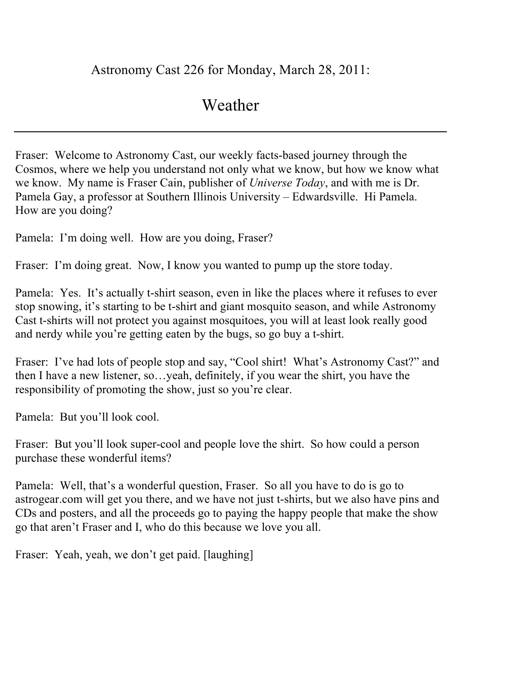## Astronomy Cast 226 for Monday, March 28, 2011:

## Weather

Fraser: Welcome to Astronomy Cast, our weekly facts-based journey through the Cosmos, where we help you understand not only what we know, but how we know what we know. My name is Fraser Cain, publisher of *Universe Today*, and with me is Dr. Pamela Gay, a professor at Southern Illinois University – Edwardsville. Hi Pamela. How are you doing?

Pamela: I'm doing well. How are you doing, Fraser?

Fraser: I'm doing great. Now, I know you wanted to pump up the store today.

Pamela: Yes. It's actually t-shirt season, even in like the places where it refuses to ever stop snowing, it's starting to be t-shirt and giant mosquito season, and while Astronomy Cast t-shirts will not protect you against mosquitoes, you will at least look really good and nerdy while you're getting eaten by the bugs, so go buy a t-shirt.

Fraser: I've had lots of people stop and say, "Cool shirt! What's Astronomy Cast?" and then I have a new listener, so…yeah, definitely, if you wear the shirt, you have the responsibility of promoting the show, just so you're clear.

Pamela: But you'll look cool.

Fraser: But you'll look super-cool and people love the shirt. So how could a person purchase these wonderful items?

Pamela: Well, that's a wonderful question, Fraser. So all you have to do is go to astrogear.com will get you there, and we have not just t-shirts, but we also have pins and CDs and posters, and all the proceeds go to paying the happy people that make the show go that aren't Fraser and I, who do this because we love you all.

Fraser: Yeah, yeah, we don't get paid. [laughing]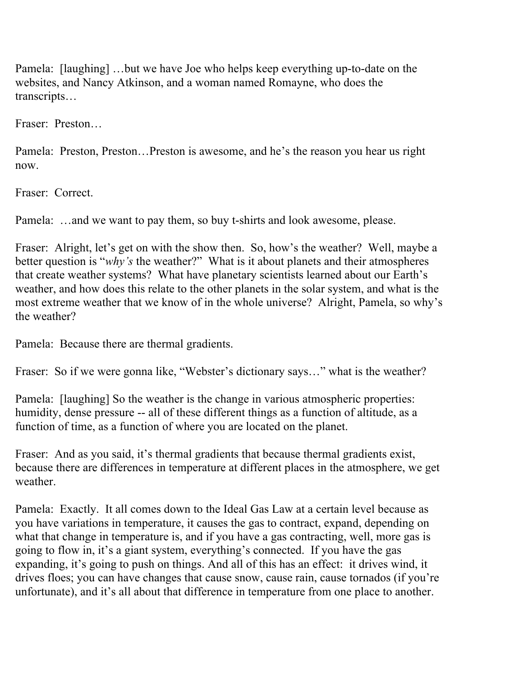Pamela: [laughing] …but we have Joe who helps keep everything up-to-date on the websites, and Nancy Atkinson, and a woman named Romayne, who does the transcripts…

Fraser: Preston…

Pamela: Preston, Preston…Preston is awesome, and he's the reason you hear us right now.

Fraser: Correct.

Pamela: …and we want to pay them, so buy t-shirts and look awesome, please.

Fraser: Alright, let's get on with the show then. So, how's the weather? Well, maybe a better question is "*why's* the weather?" What is it about planets and their atmospheres that create weather systems? What have planetary scientists learned about our Earth's weather, and how does this relate to the other planets in the solar system, and what is the most extreme weather that we know of in the whole universe? Alright, Pamela, so why's the weather?

Pamela: Because there are thermal gradients.

Fraser: So if we were gonna like, "Webster's dictionary says…" what is the weather?

Pamela: [laughing] So the weather is the change in various atmospheric properties: humidity, dense pressure -- all of these different things as a function of altitude, as a function of time, as a function of where you are located on the planet.

Fraser: And as you said, it's thermal gradients that because thermal gradients exist, because there are differences in temperature at different places in the atmosphere, we get weather.

Pamela: Exactly. It all comes down to the Ideal Gas Law at a certain level because as you have variations in temperature, it causes the gas to contract, expand, depending on what that change in temperature is, and if you have a gas contracting, well, more gas is going to flow in, it's a giant system, everything's connected. If you have the gas expanding, it's going to push on things. And all of this has an effect: it drives wind, it drives floes; you can have changes that cause snow, cause rain, cause tornados (if you're unfortunate), and it's all about that difference in temperature from one place to another.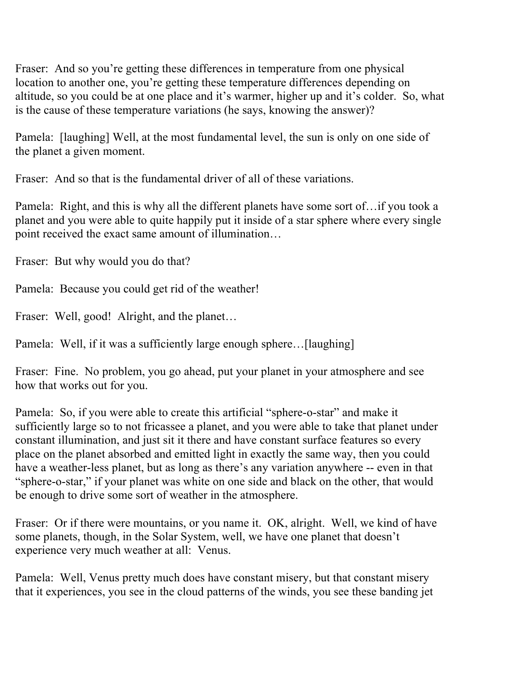Fraser: And so you're getting these differences in temperature from one physical location to another one, you're getting these temperature differences depending on altitude, so you could be at one place and it's warmer, higher up and it's colder. So, what is the cause of these temperature variations (he says, knowing the answer)?

Pamela: [laughing] Well, at the most fundamental level, the sun is only on one side of the planet a given moment.

Fraser: And so that is the fundamental driver of all of these variations.

Pamela: Right, and this is why all the different planets have some sort of…if you took a planet and you were able to quite happily put it inside of a star sphere where every single point received the exact same amount of illumination…

Fraser: But why would you do that?

Pamela: Because you could get rid of the weather!

Fraser: Well, good! Alright, and the planet...

Pamela: Well, if it was a sufficiently large enough sphere...[laughing]

Fraser: Fine. No problem, you go ahead, put your planet in your atmosphere and see how that works out for you.

Pamela: So, if you were able to create this artificial "sphere-o-star" and make it sufficiently large so to not fricassee a planet, and you were able to take that planet under constant illumination, and just sit it there and have constant surface features so every place on the planet absorbed and emitted light in exactly the same way, then you could have a weather-less planet, but as long as there's any variation anywhere -- even in that "sphere-o-star," if your planet was white on one side and black on the other, that would be enough to drive some sort of weather in the atmosphere.

Fraser: Or if there were mountains, or you name it. OK, alright. Well, we kind of have some planets, though, in the Solar System, well, we have one planet that doesn't experience very much weather at all: Venus.

Pamela: Well, Venus pretty much does have constant misery, but that constant misery that it experiences, you see in the cloud patterns of the winds, you see these banding jet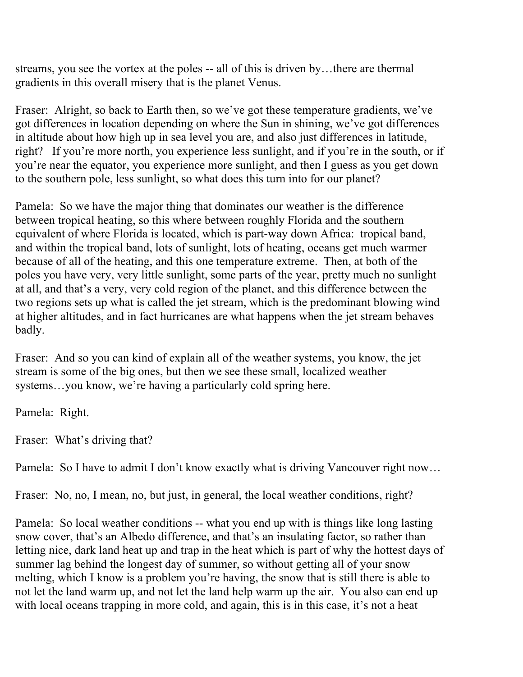streams, you see the vortex at the poles -- all of this is driven by…there are thermal gradients in this overall misery that is the planet Venus.

Fraser: Alright, so back to Earth then, so we've got these temperature gradients, we've got differences in location depending on where the Sun in shining, we've got differences in altitude about how high up in sea level you are, and also just differences in latitude, right? If you're more north, you experience less sunlight, and if you're in the south, or if you're near the equator, you experience more sunlight, and then I guess as you get down to the southern pole, less sunlight, so what does this turn into for our planet?

Pamela: So we have the major thing that dominates our weather is the difference between tropical heating, so this where between roughly Florida and the southern equivalent of where Florida is located, which is part-way down Africa: tropical band, and within the tropical band, lots of sunlight, lots of heating, oceans get much warmer because of all of the heating, and this one temperature extreme. Then, at both of the poles you have very, very little sunlight, some parts of the year, pretty much no sunlight at all, and that's a very, very cold region of the planet, and this difference between the two regions sets up what is called the jet stream, which is the predominant blowing wind at higher altitudes, and in fact hurricanes are what happens when the jet stream behaves badly.

Fraser: And so you can kind of explain all of the weather systems, you know, the jet stream is some of the big ones, but then we see these small, localized weather systems...you know, we're having a particularly cold spring here.

Pamela: Right.

Fraser: What's driving that?

Pamela: So I have to admit I don't know exactly what is driving Vancouver right now…

Fraser: No, no, I mean, no, but just, in general, the local weather conditions, right?

Pamela: So local weather conditions -- what you end up with is things like long lasting snow cover, that's an Albedo difference, and that's an insulating factor, so rather than letting nice, dark land heat up and trap in the heat which is part of why the hottest days of summer lag behind the longest day of summer, so without getting all of your snow melting, which I know is a problem you're having, the snow that is still there is able to not let the land warm up, and not let the land help warm up the air. You also can end up with local oceans trapping in more cold, and again, this is in this case, it's not a heat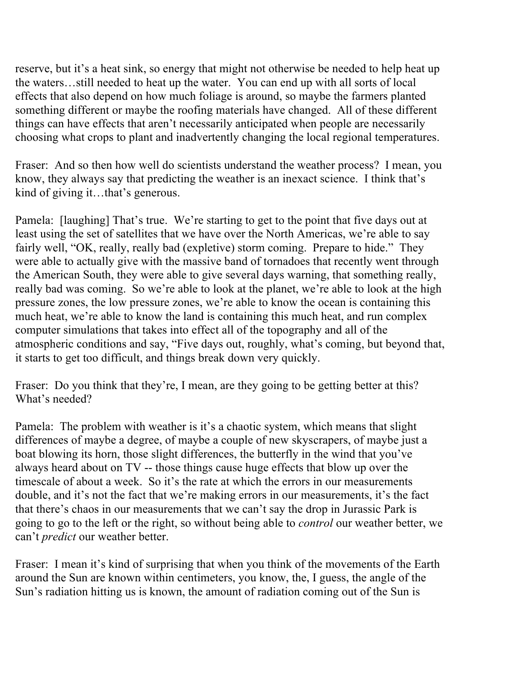reserve, but it's a heat sink, so energy that might not otherwise be needed to help heat up the waters…still needed to heat up the water. You can end up with all sorts of local effects that also depend on how much foliage is around, so maybe the farmers planted something different or maybe the roofing materials have changed. All of these different things can have effects that aren't necessarily anticipated when people are necessarily choosing what crops to plant and inadvertently changing the local regional temperatures.

Fraser: And so then how well do scientists understand the weather process? I mean, you know, they always say that predicting the weather is an inexact science. I think that's kind of giving it…that's generous.

Pamela: [laughing] That's true. We're starting to get to the point that five days out at least using the set of satellites that we have over the North Americas, we're able to say fairly well, "OK, really, really bad (expletive) storm coming. Prepare to hide." They were able to actually give with the massive band of tornadoes that recently went through the American South, they were able to give several days warning, that something really, really bad was coming. So we're able to look at the planet, we're able to look at the high pressure zones, the low pressure zones, we're able to know the ocean is containing this much heat, we're able to know the land is containing this much heat, and run complex computer simulations that takes into effect all of the topography and all of the atmospheric conditions and say, "Five days out, roughly, what's coming, but beyond that, it starts to get too difficult, and things break down very quickly.

Fraser: Do you think that they're, I mean, are they going to be getting better at this? What's needed?

Pamela: The problem with weather is it's a chaotic system, which means that slight differences of maybe a degree, of maybe a couple of new skyscrapers, of maybe just a boat blowing its horn, those slight differences, the butterfly in the wind that you've always heard about on TV -- those things cause huge effects that blow up over the timescale of about a week. So it's the rate at which the errors in our measurements double, and it's not the fact that we're making errors in our measurements, it's the fact that there's chaos in our measurements that we can't say the drop in Jurassic Park is going to go to the left or the right, so without being able to *control* our weather better, we can't *predict* our weather better.

Fraser: I mean it's kind of surprising that when you think of the movements of the Earth around the Sun are known within centimeters, you know, the, I guess, the angle of the Sun's radiation hitting us is known, the amount of radiation coming out of the Sun is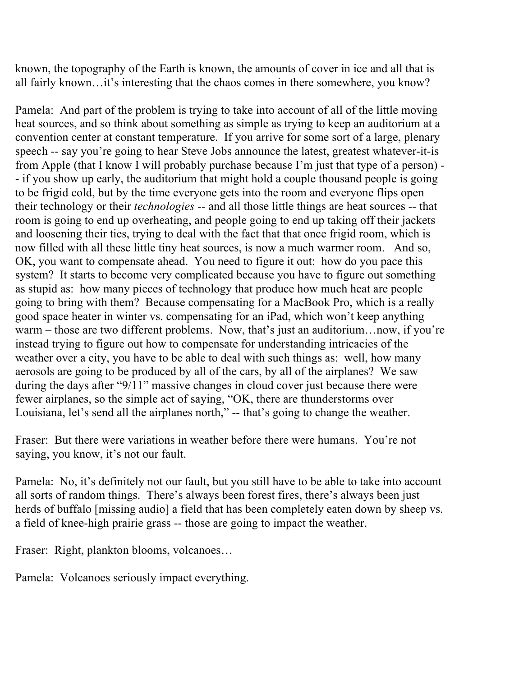known, the topography of the Earth is known, the amounts of cover in ice and all that is all fairly known…it's interesting that the chaos comes in there somewhere, you know?

Pamela: And part of the problem is trying to take into account of all of the little moving heat sources, and so think about something as simple as trying to keep an auditorium at a convention center at constant temperature. If you arrive for some sort of a large, plenary speech -- say you're going to hear Steve Jobs announce the latest, greatest whatever-it-is from Apple (that I know I will probably purchase because I'm just that type of a person) - - if you show up early, the auditorium that might hold a couple thousand people is going to be frigid cold, but by the time everyone gets into the room and everyone flips open their technology or their *technologies* -- and all those little things are heat sources -- that room is going to end up overheating, and people going to end up taking off their jackets and loosening their ties, trying to deal with the fact that that once frigid room, which is now filled with all these little tiny heat sources, is now a much warmer room. And so, OK, you want to compensate ahead. You need to figure it out: how do you pace this system? It starts to become very complicated because you have to figure out something as stupid as: how many pieces of technology that produce how much heat are people going to bring with them? Because compensating for a MacBook Pro, which is a really good space heater in winter vs. compensating for an iPad, which won't keep anything warm – those are two different problems. Now, that's just an auditorium…now, if you're instead trying to figure out how to compensate for understanding intricacies of the weather over a city, you have to be able to deal with such things as: well, how many aerosols are going to be produced by all of the cars, by all of the airplanes? We saw during the days after "9/11" massive changes in cloud cover just because there were fewer airplanes, so the simple act of saying, "OK, there are thunderstorms over Louisiana, let's send all the airplanes north," -- that's going to change the weather.

Fraser: But there were variations in weather before there were humans. You're not saying, you know, it's not our fault.

Pamela: No, it's definitely not our fault, but you still have to be able to take into account all sorts of random things. There's always been forest fires, there's always been just herds of buffalo [missing audio] a field that has been completely eaten down by sheep vs. a field of knee-high prairie grass -- those are going to impact the weather.

Fraser: Right, plankton blooms, volcanoes…

Pamela: Volcanoes seriously impact everything.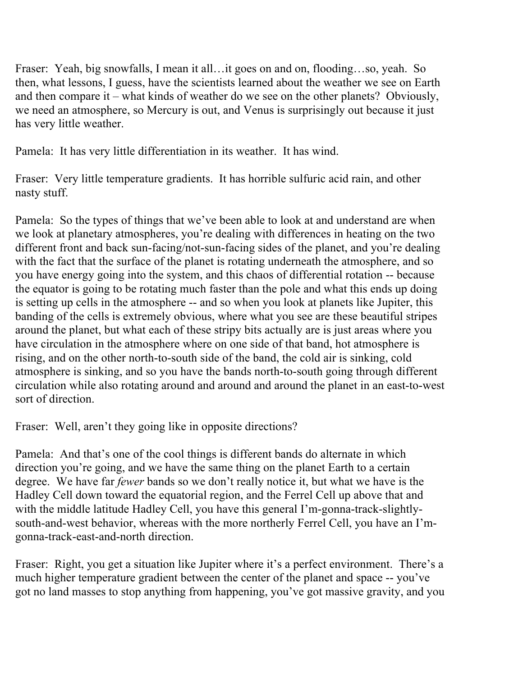Fraser: Yeah, big snowfalls, I mean it all…it goes on and on, flooding…so, yeah. So then, what lessons, I guess, have the scientists learned about the weather we see on Earth and then compare it – what kinds of weather do we see on the other planets? Obviously, we need an atmosphere, so Mercury is out, and Venus is surprisingly out because it just has very little weather.

Pamela: It has very little differentiation in its weather. It has wind.

Fraser: Very little temperature gradients. It has horrible sulfuric acid rain, and other nasty stuff.

Pamela: So the types of things that we've been able to look at and understand are when we look at planetary atmospheres, you're dealing with differences in heating on the two different front and back sun-facing/not-sun-facing sides of the planet, and you're dealing with the fact that the surface of the planet is rotating underneath the atmosphere, and so you have energy going into the system, and this chaos of differential rotation -- because the equator is going to be rotating much faster than the pole and what this ends up doing is setting up cells in the atmosphere -- and so when you look at planets like Jupiter, this banding of the cells is extremely obvious, where what you see are these beautiful stripes around the planet, but what each of these stripy bits actually are is just areas where you have circulation in the atmosphere where on one side of that band, hot atmosphere is rising, and on the other north-to-south side of the band, the cold air is sinking, cold atmosphere is sinking, and so you have the bands north-to-south going through different circulation while also rotating around and around and around the planet in an east-to-west sort of direction.

Fraser: Well, aren't they going like in opposite directions?

Pamela: And that's one of the cool things is different bands do alternate in which direction you're going, and we have the same thing on the planet Earth to a certain degree. We have far *fewer* bands so we don't really notice it, but what we have is the Hadley Cell down toward the equatorial region, and the Ferrel Cell up above that and with the middle latitude Hadley Cell, you have this general I'm-gonna-track-slightlysouth-and-west behavior, whereas with the more northerly Ferrel Cell, you have an I'mgonna-track-east-and-north direction.

Fraser: Right, you get a situation like Jupiter where it's a perfect environment. There's a much higher temperature gradient between the center of the planet and space -- you've got no land masses to stop anything from happening, you've got massive gravity, and you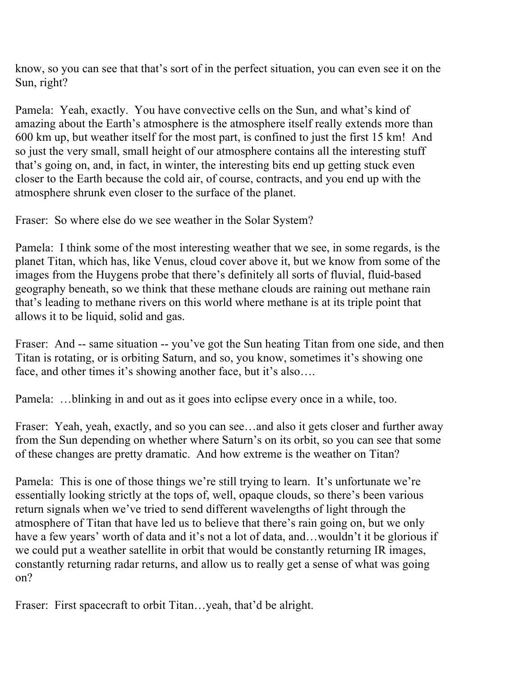know, so you can see that that's sort of in the perfect situation, you can even see it on the Sun, right?

Pamela: Yeah, exactly. You have convective cells on the Sun, and what's kind of amazing about the Earth's atmosphere is the atmosphere itself really extends more than 600 km up, but weather itself for the most part, is confined to just the first 15 km! And so just the very small, small height of our atmosphere contains all the interesting stuff that's going on, and, in fact, in winter, the interesting bits end up getting stuck even closer to the Earth because the cold air, of course, contracts, and you end up with the atmosphere shrunk even closer to the surface of the planet.

Fraser: So where else do we see weather in the Solar System?

Pamela: I think some of the most interesting weather that we see, in some regards, is the planet Titan, which has, like Venus, cloud cover above it, but we know from some of the images from the Huygens probe that there's definitely all sorts of fluvial, fluid-based geography beneath, so we think that these methane clouds are raining out methane rain that's leading to methane rivers on this world where methane is at its triple point that allows it to be liquid, solid and gas.

Fraser: And -- same situation -- you've got the Sun heating Titan from one side, and then Titan is rotating, or is orbiting Saturn, and so, you know, sometimes it's showing one face, and other times it's showing another face, but it's also....

Pamela: …blinking in and out as it goes into eclipse every once in a while, too.

Fraser: Yeah, yeah, exactly, and so you can see…and also it gets closer and further away from the Sun depending on whether where Saturn's on its orbit, so you can see that some of these changes are pretty dramatic. And how extreme is the weather on Titan?

Pamela: This is one of those things we're still trying to learn. It's unfortunate we're essentially looking strictly at the tops of, well, opaque clouds, so there's been various return signals when we've tried to send different wavelengths of light through the atmosphere of Titan that have led us to believe that there's rain going on, but we only have a few years' worth of data and it's not a lot of data, and...wouldn't it be glorious if we could put a weather satellite in orbit that would be constantly returning IR images, constantly returning radar returns, and allow us to really get a sense of what was going on?

Fraser: First spacecraft to orbit Titan...yeah, that'd be alright.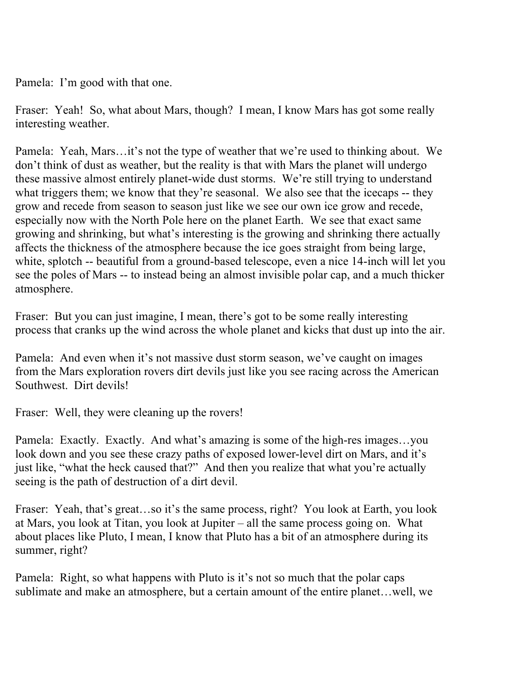Pamela: I'm good with that one.

Fraser: Yeah! So, what about Mars, though? I mean, I know Mars has got some really interesting weather.

Pamela: Yeah, Mars…it's not the type of weather that we're used to thinking about. We don't think of dust as weather, but the reality is that with Mars the planet will undergo these massive almost entirely planet-wide dust storms. We're still trying to understand what triggers them; we know that they're seasonal. We also see that the icecaps -- they grow and recede from season to season just like we see our own ice grow and recede, especially now with the North Pole here on the planet Earth. We see that exact same growing and shrinking, but what's interesting is the growing and shrinking there actually affects the thickness of the atmosphere because the ice goes straight from being large, white, splotch -- beautiful from a ground-based telescope, even a nice 14-inch will let you see the poles of Mars -- to instead being an almost invisible polar cap, and a much thicker atmosphere.

Fraser: But you can just imagine, I mean, there's got to be some really interesting process that cranks up the wind across the whole planet and kicks that dust up into the air.

Pamela: And even when it's not massive dust storm season, we've caught on images from the Mars exploration rovers dirt devils just like you see racing across the American Southwest. Dirt devils!

Fraser: Well, they were cleaning up the rovers!

Pamela: Exactly. Exactly. And what's amazing is some of the high-res images…you look down and you see these crazy paths of exposed lower-level dirt on Mars, and it's just like, "what the heck caused that?" And then you realize that what you're actually seeing is the path of destruction of a dirt devil.

Fraser: Yeah, that's great...so it's the same process, right? You look at Earth, you look at Mars, you look at Titan, you look at Jupiter – all the same process going on. What about places like Pluto, I mean, I know that Pluto has a bit of an atmosphere during its summer, right?

Pamela: Right, so what happens with Pluto is it's not so much that the polar caps sublimate and make an atmosphere, but a certain amount of the entire planet…well, we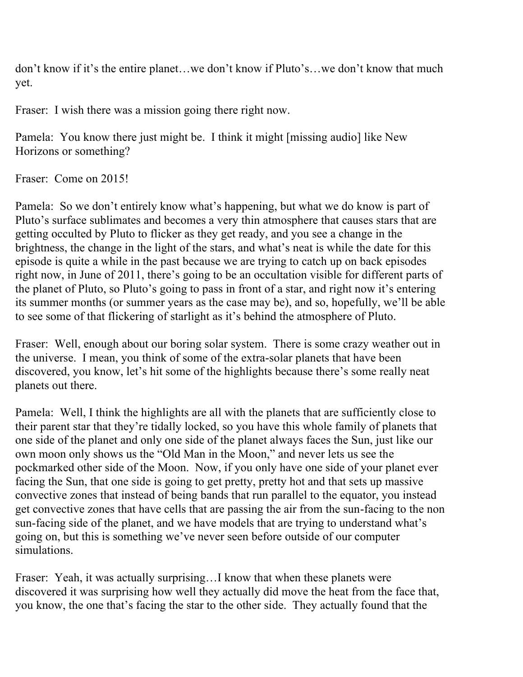don't know if it's the entire planet…we don't know if Pluto's…we don't know that much yet.

Fraser: I wish there was a mission going there right now.

Pamela: You know there just might be. I think it might [missing audio] like New Horizons or something?

Fraser: Come on 2015!

Pamela: So we don't entirely know what's happening, but what we do know is part of Pluto's surface sublimates and becomes a very thin atmosphere that causes stars that are getting occulted by Pluto to flicker as they get ready, and you see a change in the brightness, the change in the light of the stars, and what's neat is while the date for this episode is quite a while in the past because we are trying to catch up on back episodes right now, in June of 2011, there's going to be an occultation visible for different parts of the planet of Pluto, so Pluto's going to pass in front of a star, and right now it's entering its summer months (or summer years as the case may be), and so, hopefully, we'll be able to see some of that flickering of starlight as it's behind the atmosphere of Pluto.

Fraser: Well, enough about our boring solar system. There is some crazy weather out in the universe. I mean, you think of some of the extra-solar planets that have been discovered, you know, let's hit some of the highlights because there's some really neat planets out there.

Pamela: Well, I think the highlights are all with the planets that are sufficiently close to their parent star that they're tidally locked, so you have this whole family of planets that one side of the planet and only one side of the planet always faces the Sun, just like our own moon only shows us the "Old Man in the Moon," and never lets us see the pockmarked other side of the Moon. Now, if you only have one side of your planet ever facing the Sun, that one side is going to get pretty, pretty hot and that sets up massive convective zones that instead of being bands that run parallel to the equator, you instead get convective zones that have cells that are passing the air from the sun-facing to the non sun-facing side of the planet, and we have models that are trying to understand what's going on, but this is something we've never seen before outside of our computer simulations.

Fraser: Yeah, it was actually surprising...I know that when these planets were discovered it was surprising how well they actually did move the heat from the face that, you know, the one that's facing the star to the other side. They actually found that the